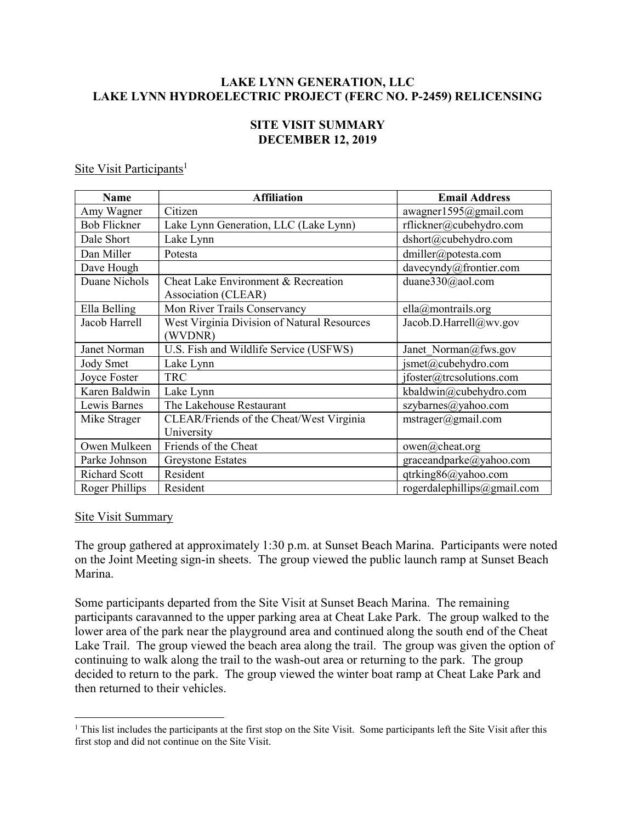# LAKE LYNN GENERATION, LLC LAKE LYNN HYDROELECTRIC PROJECT (FERC NO. P-2459) RELICENSING

## SITE VISIT SUMMARY DECEMBER 12, 2019

### Site Visit Participants<sup>1</sup>

| <b>Name</b>          | <b>Affiliation</b>                                         | <b>Email Address</b>         |
|----------------------|------------------------------------------------------------|------------------------------|
| Amy Wagner           | Citizen                                                    | awagner1595@gmail.com        |
| <b>Bob Flickner</b>  | Lake Lynn Generation, LLC (Lake Lynn)                      | rflickner@cubehydro.com      |
| Dale Short           | Lake Lynn                                                  | dshort@cubehydro.com         |
| Dan Miller           | Potesta                                                    | dmiller@potesta.com          |
| Dave Hough           |                                                            | davecyndy@frontier.com       |
| Duane Nichols        | Cheat Lake Environment & Recreation<br>Association (CLEAR) | duane330@aol.com             |
| Ella Belling         | Mon River Trails Conservancy                               | ella@montrails.org           |
| Jacob Harrell        | West Virginia Division of Natural Resources<br>(WVDNR)     | Jacob.D.Harrell@wv.gov       |
| Janet Norman         | U.S. Fish and Wildlife Service (USFWS)                     | Janet Norman@fws.gov         |
| Jody Smet            | Lake Lynn                                                  | jsmet@cubehydro.com          |
| Joyce Foster         | <b>TRC</b>                                                 | jfoster@trcsolutions.com     |
| Karen Baldwin        | Lake Lynn                                                  | kbaldwin@cubehydro.com       |
| Lewis Barnes         | The Lakehouse Restaurant                                   | szybarnes@yahoo.com          |
| Mike Strager         | CLEAR/Friends of the Cheat/West Virginia                   | $mstrager(\omega gmail.com)$ |
|                      | University                                                 |                              |
| Owen Mulkeen         | Friends of the Cheat                                       | owen@cheat.org               |
| Parke Johnson        | <b>Greystone Estates</b>                                   | graceandparke@yahoo.com      |
| <b>Richard Scott</b> | Resident                                                   | qtrking86@yahoo.com          |
| Roger Phillips       | Resident                                                   | rogerdalephillips@gmail.com  |

#### Site Visit Summary

 $\overline{a}$ 

The group gathered at approximately 1:30 p.m. at Sunset Beach Marina. Participants were noted on the Joint Meeting sign-in sheets. The group viewed the public launch ramp at Sunset Beach Marina.

Some participants departed from the Site Visit at Sunset Beach Marina. The remaining participants caravanned to the upper parking area at Cheat Lake Park. The group walked to the lower area of the park near the playground area and continued along the south end of the Cheat Lake Trail. The group viewed the beach area along the trail. The group was given the option of continuing to walk along the trail to the wash-out area or returning to the park. The group decided to return to the park. The group viewed the winter boat ramp at Cheat Lake Park and then returned to their vehicles.

<sup>&</sup>lt;sup>1</sup> This list includes the participants at the first stop on the Site Visit. Some participants left the Site Visit after this first stop and did not continue on the Site Visit.